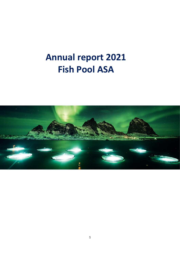# **Fi Annual report 2021 Fish Pool ASA**

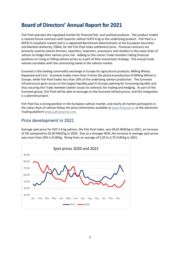## **Board of Directors' Annual Report for 2021**

Fish Pool operates the regulated market for financial fish- and seafood products. The product traded is cleared future contracts with Superior salmon SUP3-6 kg as the underlying product. Fish Pool is a MiFID II compliant market and is a registered Benchmark Administrator at the European Securities and Markets Authority, ESMA, for the Fish Pool Index settlement price. Financial contracts are primarily used by salmon farmers, exporters, importers, processors and retailers in the value chain of salmon to hedge their salmon price risk. Adding to this comes Trade members taking financial positions on rising or falling salmon prices as a part of their investment strategy. The annual trade volume correlates with the contracting needs in the salmon market.

Euronext is the leading commodity exchange in Europe for agricultural products; Milling Wheat, Rapeseed and Corn. Euronext trades more than 3 times the physical production of Milling Wheat in Europe, while Fish Pool trades less than 10% of the underlying salmon production. The Euronext infrastructure gives access to the largest liquidity pool in Europe opening for increasing liquidity and thus securing the Trade members better access to contracts for trading and hedging. As part of the Euronext group, Fish Pool will be able to leverage on the Euronext infrastructure, and this integration is a planned project.

Fish Pool has a strong position in the European salmon market, and nearly all market participants in the value chain of salmon follow the price information available a[t www.fishpool.eu](http://www.fishpool.eu/) or the electronic Trading platfor[m www.salmonprice.com.](http://www.salmonprice.com/)

## Price development in 2021

Average spot price for SUP 3-6 kg salmon, the Fish Pool index, was 58,42 NOK/kg in 2021, an increase of 5% compared to 55,40 NOK/kg in 2020. Due to a stronger NOK, the increase in average spot prices was more than 10% in EUR/kg. Rising from an average of 5,20 to 5,75 EUR/kg in 2021.

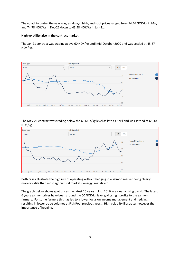The volatility during the year was, as always, high, and spot prices ranged from 74,46 NOK/kg in May and 74,78 NOK/kg in Dec-21 down to 43,58 NOK/kg in Jan-21.

#### **High volatility also in the contract market:**

The Jan-21 contract was trading above 60 NOK/kg until mid-October 2020 and was settled at 45,87 NOK/kg.







Both cases illustrate the high risk of operating without hedging in a salmon market being clearly more volatile than most agricultural markets, energy, metals etc.

The graph below shows spot prices the latest 15 years. Until 2016 in a clearly rising trend. The latest 6 years salmon prices have been around the 60 NOK/kg level giving high profits to the salmon farmers. For some farmers this has led to a lower focus on income management and hedging, resulting in lower trade volumes at Fish Pool previous years. High volatility illustrates however the importance of hedging.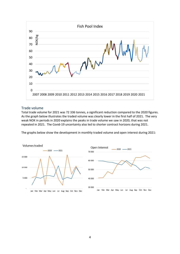

## Trade volume

Total trade volume for 2021 was 72 336 tonnes, a significant reduction compared to the 2020 figures. As the graph below illustrates the traded volume was clearly lower in the first half of 2021. The very weak NOK in periods in 2020 explains the peaks in trade volume we saw in 2020, that was not repeated in 2021. The Covid-19 uncertainty also led to shorter contract horizons during 2021.

The graphs below show the development in monthly traded volume and open interest during 2021:



Jan Feb Mar Apr May Jun Jul Aug Sep Oct Nov Dec

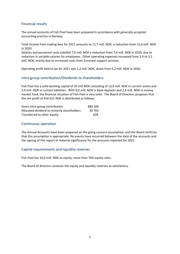## Financial results

The annual accounts of Fish Pool have been prepared in accordance with generally accepted accounting practice in Norway.

Total income from trading fees for 2021 amounts to 11,7 mill. NOK, a reduction from 15,0 mill. NOK in 2020.

Salaries and personnel costs totalled 7,0 mill. NOK a reduction from 7,4 mill. NOK in 2020, due to reduction in variable salaries for employees. Other operating expenses increased from 2,4 to 3,5 mill. NOK, mainly due to increased costs from Euronext support services.

Operating profit before tax for 2021 was 1,2 mill. NOK, down from 5,2 mill. NOK in 2020.

## Intra-group contribution/Dividends to shareholders

Fish Pool has a solid working capital of 10 mill NOK consisting of 13,9 mill. NOK in current assets and 3,9 mill. NOK in current liabilities. With 9,9 mill. NOK in bank deposits and 2,6 mill. NOK in money market fund, the financial situation of Fish Pool is very solid. The Board of Directors proposes that the net profit of 916 631 NOK is distributed as follows:

| Given intra-group contribution              | 885 300 |
|---------------------------------------------|---------|
| Allocated dividend to minority shareholders | 30 703  |
| Transferred to other equity                 | 628     |

## Continuous operation

The Annual Accounts have been prepared on the going concern assumption, and the Board confirms that this assumption is appropriate. No events have occurred between the date of the accounts and the signing of this report of material significance for the accounts reported for 2021.

## Capital requirements and liquidity reserves

Fish Pool has 10,0 mill. NOK as equity, more than 70% equity ratio.

The Board of directors assesses the equity and liquidity reserves as satisfactory.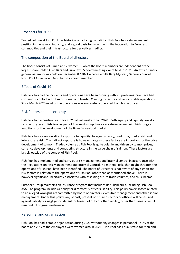## Prospects for 2022

Traded volume at Fish Pool has historically had a high volatility. Fish Pool has a strong market position in the salmon industry, and a good basis for growth with the integration to Euronext commodities and their infrastructure for derivatives trading.

## The composition of the Board of directors

The board consists of 3 men and 2 women. Two of the board members are independent of the largest shareholder, Oslo Børs and Euronext. 5 board meetings were held in 2021. An extraordinary general assembly was held on December 8<sup>th</sup> 2021 where Camilla Berg Myrstad, General councel, Nord Pool AS replaced Kari Thørud as board member.

## Effects of Covid-19

Fish Pool has had no incidents and operations have been running without problems. We have had continuous contact with Finanstilsynet and Nasdaq Clearing to secure and report stable operations. Since March 2020 most of the operations was successfully operated from home offices.

## Risk factors and uncertainty

Fish Pool had a positive result for 2021, albeit weaker than 2020. Both equity and liquidity are at a satisfactory level. Fish Pool as part of Euronext group, has a very strong owner with high long-term ambitions for the development of the financial seafood market.

Fish Pool has a very low direct exposure to liquidity, foreign currency, credit risk, market risk and interest rate risk. The indirect exposure is however large as these factors are important for the price development of salmon. Traded volume at Fish Pool is quite volatile and driven by salmon prices, currency developments and contracting structure in the value chain of salmon. These factors are largely outside of the control of Fish Pool.

Fish Pool has implemented and carry out risk management and internal control in accordance with the Regulations on Risk Management and Internal Control. No material risks that might threaten the operations of Fish Pool have been identified. The Board of Directors is not aware of any significant risk factors in relation to the operations of Fish Pool other than as mentioned above. There is however significant uncertainty associated with assessing future trade volumes, and thus income.

Euronext Group maintains an insurance program that includes its subsidiaries, including Fish Pool ASA. The program includes a policy for directors' & officers' liability. This policy covers losses related to an alleged wrongful Act committed by board of directors, executive management and other senior management. Under this policy, any of past, present or future directors or officers will be insured against liability for negligence, default or breach of duty or other liability, other than cases of wilful misconduct or gross negligence

## Personnel and organisation

Fish Pool has had a stable organisation during 2021 without any changes in personnel. 40% of the board and 20% of the employees were women also in 2021. Fish Pool has equal status for men and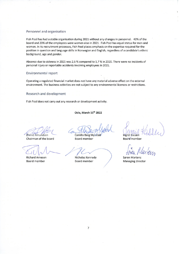#### Personnel and organisation

Fish Pool has had a stable organisation during 2021 without any changes in personnel. 40% of the board and 20% of the employees were women also in 2021. Fish Pool has equal status for men and women. In its recruitment processes, Fish Pool places emphasis on the expertise required for the position in question and language skills in Norwegian and English, regardless of a candidate's ethnic background, age and gender.

Absence due to sickness in 2021 was 2,6 % compared to 1,7 % in 2020. There were no incidents of personal injury or reportable accidents involving employees in 2021.

#### Environmental report

Operating a regulated financial market does not have any material adverse effect on the external environment. The business activities are not subject to any environmental licences or restrictions.

#### Research and development

Fish Pool does not carry out any research or development activity.

Oslo, March 11<sup>th</sup> 2022

**Øivind Amundsen** 

Chairman of the board

**Richard Arnesen Board member** 

Camilla Berg Myrstar

**Board member** 

Nicholas Kennedy Board member

**Ingrid Kassen** 

**Board** member

Søren Martens Managing director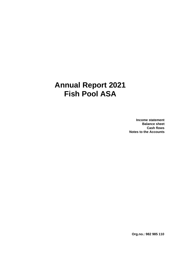## **Annual Report 2021 Fish Pool ASA**

**Income statement Balance sheet Cash flows Notes to the Accounts**

**Org.no.: 982 985 110**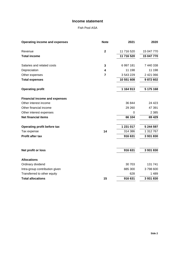## **Income statement**

## Fish Pool ASA

| <b>Operating income and expenses</b> | <b>Note</b>    | 2021       | 2020       |
|--------------------------------------|----------------|------------|------------|
| Revenue                              | $\mathbf{2}$   | 11 716 520 | 15 047 770 |
| <b>Total income</b>                  |                | 11 716 520 | 15 047 770 |
| Salaries and related costs           | 3              | 6 997 181  | 7 440 338  |
| Depreciation                         | 4              | 11 198     | 11 198     |
| Other expenses                       | $\overline{7}$ | 3 543 229  | 2 421 066  |
| <b>Total expenses</b>                |                | 10 551 608 | 9872602    |
| <b>Operating profit</b>              |                | 1 164 913  | 5 175 168  |
| <b>Financial income and expenses</b> |                |            |            |
| Other interest income                |                | 36 844     | 24 4 23    |
| Other financial income               |                | 29 260     | 47 391     |
| Other interest expenses              |                | 0          | 2 3 8 5    |
| <b>Net financial items</b>           |                | 66 104     | 69 4 29    |
| Operating profit before tax          |                | 1 231 017  | 5 244 597  |
| Tax expense                          | 14             | 314 386    | 1 312 767  |
| <b>Profit after tax</b>              |                | 916 631    | 3 931 830  |
| Net profit or loss                   |                | 916 631    | 3 931 830  |
| <b>Allocations</b>                   |                |            |            |
| Ordinary dividend                    |                | 30 703     | 131 741    |
| Intra-group contribution given       |                | 885 300    | 3798600    |
| Transferred to other equity          |                | 628        | 1 4 8 9    |
| <b>Total allocations</b>             | 15             | 916 631    | 3 931 830  |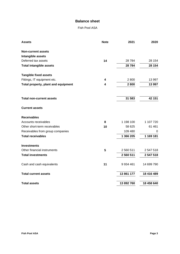## **Balance sheet**

| <b>Assets</b>                       | <b>Note</b> | 2021        | 2020       |
|-------------------------------------|-------------|-------------|------------|
| <b>Non-current assets</b>           |             |             |            |
| Intangible assets                   |             |             |            |
| Deferred tax assets                 | 14          | 28 7 84     | 28 154     |
| <b>Total intangible assets</b>      |             | 28784       | 28 154     |
| <b>Tangible fixed assets</b>        |             |             |            |
| Fittings, IT equipment etc.         | 4           | 2800        | 13 997     |
| Total property, plant and equipment | 4           | 2800        | 13 997     |
| <b>Total non-current assets</b>     |             | 31 583      | 42 151     |
| <b>Current assets</b>               |             |             |            |
| <b>Receivables</b>                  |             |             |            |
| Accounts receivables                | 8           | 1 198 100   | 1 107 720  |
| Other short-term receivables        | 10          | 58 625      | 61 461     |
| Receivables from group companies    |             | 109 480     | 0          |
| <b>Total receivables</b>            |             | 1 366 205   | 1 169 181  |
| <b>Investments</b>                  |             |             |            |
| Other financial instruments         | 5           | 2 560 511   | 2 547 518  |
| <b>Total investments</b>            |             | 2 560 511   | 2 547 518  |
| Cash and cash equivalents           | 11          | 9 9 34 4 61 | 14 699 790 |
| <b>Total current assets</b>         |             | 13 861 177  | 18 416 489 |
| <b>Total assets</b>                 |             | 13 892 760  | 18 458 640 |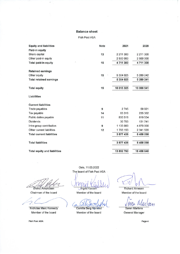#### **Balance sheet**

Fish Pool ASA

| <b>Equity and liabilities</b>       | <b>Note</b> | 2021          | 2020        |
|-------------------------------------|-------------|---------------|-------------|
| Paid-in equity                      |             |               |             |
| Share capital                       | 13          | 2 2 1 3 3 0 0 | 2 2 1 3 0 0 |
| Other paid-in equity                |             | 2 500 000     | 2 500 000   |
| Total paid-in equity                | 15          | 4711300       | 4711300     |
| <b>Retained earnings</b>            |             |               |             |
| Other equity                        | 15          | 5 304 025     | 5 289 242   |
| <b>Total retained earnings</b>      |             | 5 304 025     | 5 289 241   |
| <b>Total equity</b>                 | 15          | 10 015 325    | 10 000 541  |
| <b>Liabilities</b>                  |             |               |             |
| <b>Current liabilities</b>          |             |               |             |
| Trade payables                      | 9           | 2745          | 59 921      |
| Tax payable                         | 14          | 65 316        | 235 362     |
| Public duties payable               | 11          | 850 518       | 819 554     |
| <b>Dividends</b>                    |             | 30 703        | 131 741     |
| Intra-group contribution            | 9           | 1 135 000     | 4 870 000   |
| Other current liabilities           | 12          | 1793153       | 2 341 520   |
| <b>Total current liabilities</b>    |             | 3 877 436     | 8 458 098   |
| <b>Total liabilities</b>            |             | 3 877 436     | 8 458 098   |
| <b>Total equity and liabilities</b> |             | 13 892 760    | 18 458 640  |

Øivind Amundsen

Chairman of the board

Nicholas Marc Kennedy Member of the board

**Fish Pool ASA** 

The board of Fish Pool ASA **Ingrid Kassen** 

Oslo, 11.03.2022

Member of the board

Camilla Berg Myrstad Member of the board

**Richard Arnesen** Member of the board

onen

Søren Martens **General Manager** 

Page 4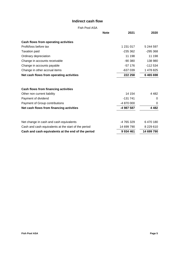## **Indirect cash flow**

| Fish Pool ASA |  |
|---------------|--|
|---------------|--|

|                                                      | <b>Note</b> | 2021        | 2020          |
|------------------------------------------------------|-------------|-------------|---------------|
| Cash flows from operating activities                 |             |             |               |
| Profit/loss before tax                               |             | 1 231 017   | 5 244 597     |
| <b>Taxation paid</b>                                 |             | -235 362    | -295 368      |
| Ordinary depreciation                                |             | 11 198      | 11 198        |
| Change in accounts receivable                        |             | $-90380$    | 138 980       |
| Change in accounts payable                           |             | $-57176$    | $-112534$     |
| Change in other accrual items                        |             | -637 039    | 1 478 825     |
| Net cash flows from operating activities             |             | 222 258     | 6465698       |
|                                                      |             |             |               |
| <b>Cash flows from financing activities</b>          |             |             |               |
| Other non current liability                          |             | 14 154      | 4 4 8 2       |
| Payment of dividend                                  |             | $-131741$   | $\Omega$      |
| Payment of Group contributions                       |             | -4 870 000  | 0             |
| Net cash flows from financing activities             |             | -4 987 587  | 4 4 8 2       |
|                                                      |             |             |               |
| Net change in cash and cash equivalents              |             | -4 765 329  | 6470180       |
| Cash and cash equivalents at the start of the period |             | 14 699 790  | 8 2 2 9 6 1 0 |
| Cash and cash equivalents at the end of the period   |             | 9 9 34 4 61 | 14 699 790    |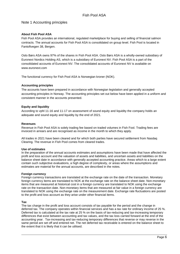## Note 1 Accounting principles

#### **About Fish Pool ASA**

Fish Pool ASA provides an international, regulated marketplace for buying and selling of financial salmon contracts. The annual accounts for Fish Pool ASA is consolidated on group level. Fish Pool is located in Fantoftvegen 38, Bergen.

Oslo Børs ASA owns 97% of the shares in Fish Pool ASA. Oslo Børs ASA is a wholly-owned subsidiary of Euronext Nordics Holding AS, which is a subsidiary of Euronext NV. Fish Pool ASA is a part of the consolidated accounts of Euronext NV. The consolidated accounts of Euronext NV is available on www.euronext.com

The functional currency for Fish Pool ASA is Norwegian kroner (NOK).

#### **Accounting principles**

The accounts have been prepared in accordance with Norwegian legislation and generally accepted accounting principles in Norway. The accounting principles set out below have been applied in a uniform and consistent manner in the accounts presented.

#### **Equity and liquidity**

According to vphl 11-16 and 11-17 on assessment of sound equity and liquidity the company holds an adequate and sound equity and liquidity by the end of 2021.

#### **Revenues**

Revenue in Fish Pool ASA is solely trading fee based on traded volumes in Fish Fool. Trading fees are invoiced in arrears and are recognised as income in the month to which they apply.

All trades in 2021 have been cleared and for which both parties have secured settlement from Nasdaq Clearing. The revenue in Fish Pool comes from cleared trades.

#### **Use of estimates**

In the preparation of the annual accounts estimates and assumptions have been made that have affected the profit and loss account and the valuation of assets and liabilities, and uncertain assets and liabilities on the balance sheet date in accordance with generally accepted accounting practice. Areas which to a large extent contain such subjective evaluations, a high degree of complexity, or areas where the assumptions and estimates are material for the annual accounts, are described in the notes.

#### **Foreign currency**

Foreign currency transactions are translated at the exchange rate on the date of the transaction. Monetary foreign currency items are translated to NOK at the exchange rate on the balance sheet date. Non-monetary items that are measured at historical cost in a foreign currency are translated to NOK using the exchange rate on the transaction date. Non-monetary items that are measured at fair value in a foreign currency are translated to NOK using the exchange rate on the measurement date. Exchange rate fluctuations are posted to the profit and loss account as they arise under other financial items.

#### **Tax**

The tax charge in the profit and loss account consists of tax payable for the period and the change in deferred tax. The company operates within financial services and has a tax rate for ordinary income of 25 %.<br>Deferred tax is calculated at the tax rate at 25 % on the basis of tax-reducing and tax-increasing temporary differences that exist between accounting and tax values, and the tax loss carried forward at the end of the accounting year. Tax-increasing and tax-reducing temporary differences that reverse ormay reverse in the same period are set off and entered net. The net deferred tax receivable is entered on the balance sheet to the extent that it is likely that it can be utilised.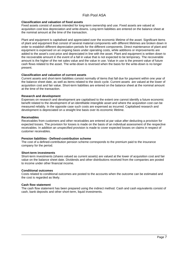#### **Classification and valuation of fixed assets**

Fixed assets consist of assets intended for long-term ownership and use. Fixed assets are valued at acquisition cost less depreciation and write-downs. Long-term liabilities are entered on the balance sheet at the nominal amount at the time of the transaction.

Plant and equipment is capitalised and appreciated over the economic lifetime of the asset. Significant items of plant and equipment that consist of several material components with different lifetimes are broken down in order to establish different depreciation periods for the different components. Direct maintenance of plant and equipment is expensed on an ongoing basis under operating costs, while additions or improvements are added to the asset's cost price and depreciated in line with the asset. Plant and equipment is written down to the recoverable amount in the event of a fall in value that is not expected to be temporary. The recoverable amount is the higher of the net sales value and the value in use. Value in use is the present value of future cash flows related to the asset. The write-down is reversed when the basis for the write-down is no longer present.

#### **Classification and valuation of current assets**

Current assets and short-term liabilities consist normally of items that fall due for payment within one year of the balance sheet date, as well as items related to the stock cycle. Current assets are valued at the lower of acquisition cost and fair value. Short-term liabilities are entered on the balance sheet at the nominal amount at the time of the transaction.

#### **Research and development**

Expenses on research and development are capitalised to the extent one cannot identify a future economic benefit related to the development of an identifiable intangible asset and where the acquisition cost can be measured reliably. In the opposite case such costs are expensed as incurred. Capitalised research and development is depreciated on a straight line basis over its economic lifetime.

#### **Receivables**

Receivables from customers and other receivables are entered at par value after deducting a provision for expected losses. The provision for losses is made on the basis of an individual assessment of the respective receivables. In addition an unspecified provision is made to cover expected losses on claims in respect of customer receivables.

#### **Pension liabilities - Defined-contribution scheme**

The cost of a defined-contribution pension scheme corresponds to the premium paid to the insurance company for the period.

#### **Short-term investments**

Short-term investments (shares valued as current assets) are valued at the lower of acquisition cost and fair value on the balance sheet date. Dividends and other distributions received from the companies are posted to income under other financial income.

#### **Conditional outcomes**

Costs related to conditional outcomes are posted to the accounts when the outcome can be estimated and the cost is regarded as likely.

#### **Cash flow statement**

The cash flow statement has been prepared using the indirect method. Cash and cash equivalents consist of cash, bank deposits and other short-term, liquid investments.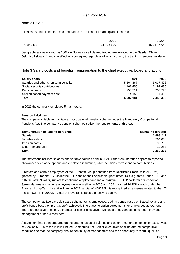## Note 2 Revenue

All sales revenue is fee for executed trades in the financial marketplace Fish Pool.

|             | 2021       | 2020       |
|-------------|------------|------------|
| Trading fee | 11 716 520 | 15 047 770 |

Geographical classification is 100% in Norway as all cleared trading are invoiced to the Nasdaq Clearing Oslo, NUF (branch) and classified as Norwegian, regardless ofwhich country the trading members reside in.

Note 3 Salary costs and benefits, remuneration to the chief executive, board and auditor

| <b>Salary costs</b>                    | 2021          | 2020      |
|----------------------------------------|---------------|-----------|
| Salaries and other short term benefits | 5 5 6 4 8 6 7 | 6 037 496 |
| Social security contributions          | 1 161 450     | 1 192 635 |
| Pension costs                          | 256 711       | 205 723   |
| Shared based payment cost              | 14 153        | 4 4 8 2   |
| <b>Total</b>                           | 6997181       | 7440336   |

In 2021 the company employed 5 man-years.

#### **Pension liabilities**

The company is liable to maintain an occupational pension scheme under the Mandatory Occupational Pensions Act. The company's pension schemes satisfy the requirements of this Act.

| <b>Remuneration to leading personnel</b> | <b>Managing director</b> |
|------------------------------------------|--------------------------|
| Salaries                                 | 1 493 242                |
| Variable salary                          | 764 008                  |
| Pension costs                            | 90 799                   |
| Other remuneration                       | 12 2 8 3                 |
| <b>Sum</b>                               | 2 360 332                |

The statement includes salaries and variable salaries paid in 2021. Other remuneration applies to reported allowances such as telephone and employee insurance, while pensions correspond to contributions.

Directors and certain employees of the Euronext Group benefited from Restricted Stock Units ("RSUs") granted by Euronext N.V. under the LTI Plans on their applicable grant dates. RSUs granted under LTI Plans cliff-vest after 3 years, subject to continued employment and a 'positive EBITDA' performance condition. Søren Martens and other employees were as well as in 2020 and 2021 granted 10 RSUs each under the Euronext Long-Term Incentive Plan. In 2021, a total of NOK 14k , is recognized as expense related to the LTI Plans (NOK 4k in 2020). A total of NOK 18k is posted directly to equity.

The company has two-variable salary scheme for its employees; trading bonus based on traded volume and profit bonus based on pre-tax profit achieved. There are no option agreements for employees at year-end. There are no severance pay schemes for senior executives. No loans or guarantees have been provided management or board members.

A statement has been prepared on the determination of salaries and other remuneration to senior executives, cf. Section 6-16 a of the Public Limited Companies Act. Senior executives shall be offered competitive conditions so that the company ensure continuity of management and the opportunity to recruit qualified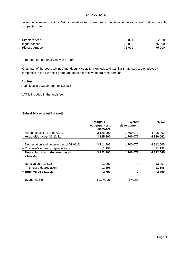## Fish Pool ASA

personnel to senior positions. With competitive terms are meant conditions at the same level that comparable companies offer.

| Directors' fees        | 2021   | 2020   |
|------------------------|--------|--------|
| Ingrid Kassen          | 75 000 | 75 000 |
| <b>Richard Arnesen</b> | 75 000 | 75 000 |

Remuneration are paid yearly in arrears.

Chairman of the board Øivind Amundsen, Nicolas M. Kennedy and Camilla B. Myrstad are employed in companies in the Euronext group and does not receive board remuneration.

#### **Auditor**

Audit fees in 2021 amount to 118 966.

VAT is included in the audit fee.

## Note 4 Non-current assets

|                                               | Fittings, IT-<br>equipment and<br>software | <b>System</b><br>development | <b>Total</b> |
|-----------------------------------------------|--------------------------------------------|------------------------------|--------------|
| Purchase cost as of 01.01.21                  | 3 125 990                                  | 1700072                      | 4 826 062    |
| = Acquisition cost 31.12.21                   | 3 125 990                                  | 1700072                      | 4 826 062    |
| Depreciation and down-wr. as of 01.01.21      | 3 111 9 9 3                                | 1700 072                     | 4 812 065    |
| + This year's ordinary depreciations          | 11 198                                     |                              | 11 198       |
| = Depreciation and down-wr. as of<br>31.12.21 | 3 123 191                                  | 1700072                      | 4 812 065    |
| Book value 01.01.21                           | 13 997                                     | 0                            | 13 997       |
| - This year's depreciation                    | 11 198                                     |                              | 11 198       |
| $=$ Book value 31.12.21                       | 2 7 9 9                                    | 0                            | 2799         |
| Economic life                                 | 3-10 years                                 | 5 years                      |              |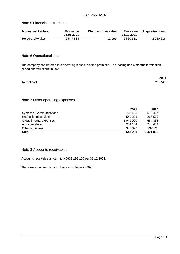## Fish Pool ASA

## Note 5 Financial instruments

| Money market fund         | <b>Fair value</b><br>01.01.2021 | Change in fair value | Fair value<br>31.12.2021 | <b>Acquisition cost</b> |
|---------------------------|---------------------------------|----------------------|--------------------------|-------------------------|
| <b>Holberg Likviditet</b> | 2 547 518                       | 12 993               | 2 560 511                | 2 2 6 0 6 1 8           |

## Note 6 Operational lease

The company has entered into operating leases in office premises. The leasing has 6 months termination period and will expire in 2023.

|                                   | 2021    |  |
|-----------------------------------|---------|--|
| $\mathsf{R}_{\mathsf{Q}}$<br>רחים | 216 540 |  |

## Note 7 Other operating expenses

|                         | 2021      | 2020        |
|-------------------------|-----------|-------------|
| System & Communications | 723 435   | 512 427     |
| Professional services   | 540 235   | 267 509     |
| Group internal expenses | 1 049 000 | 654 868     |
| Accommodation           | 284 164   | 248 434     |
| Other expenses          | 946 396   | 737 828     |
| <b>Sum</b>              | 3 543 230 | 2 4 21 0 66 |

## Note 8 Accounts receivables

Accounts receivable amount to NOK 1 198 100 per 31.12 2021.

There were no provisions for losses on claims in 2021.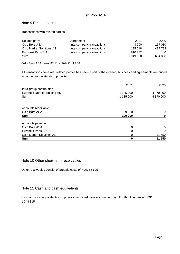## Note 9 Related parties

Transactions with related parties:

| Related party            | Agreement                 | 2021      | 2020    |
|--------------------------|---------------------------|-----------|---------|
| Oslo Børs ASA            | Intercompany transactions | 43 200    | 167 080 |
| Oslo Market Solutions AS | Intercompany transactions | 195 018   | 487 788 |
| Euronext Paris S.A       | Intercompany transactions | 810 782   | 0       |
| Sum                      |                           | 1 049 000 | 654 868 |

Oslo Børs ASA owns 97 % of Fish Pool ASA.

All transactions done with related parties has been a part of the ordinary business and agreements are priced according to the standard price list.

|                             | 2021      | 2020      |
|-----------------------------|-----------|-----------|
| Intra-group contribution    |           |           |
| Euronext Nordics Holding AS | 1 135 000 | 4 870 000 |
| Sum                         | 1 135 000 | 4 870 000 |

| Accounts receivable             |         |        |
|---------------------------------|---------|--------|
| Oslo Børs ASA                   | 109 000 | 0      |
| <b>Sum</b>                      | 109 000 |        |
| Accounts payable                |         |        |
| Oslo Børs ASA                   | O       | 0      |
| Euronext Paris S.A              |         |        |
| <b>Oslo Market Solutions AS</b> |         | 11 550 |
| Sum                             |         | 11 550 |

## Note 10 Other short-term receivables

Other receivables consist of prepaid costs of NOK 58 625

## Note 11 Cash and cash equivalents

Cash and cash equivalents comprises a restricted bank account for payroll withholding tax of NOK 1 248 315.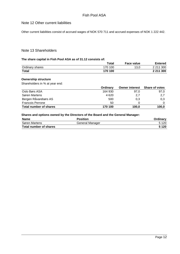## Note 12 Other current liabilities

Other current liabilities consist of accrued wages of NOK 570 711 and accrued expenses of NOK 1 222 442.

## Note 13 Shareholders

#### **The share capital in Fish Pool ASA as of31.12 consists of:**

|                 | <b>Total</b> | Face value | <b>Entered</b> |
|-----------------|--------------|------------|----------------|
| Ordinary shares | 170 100      | 13,0       | 300<br>2 2 1 1 |
| <b>Total</b>    | 170 100      |            | 2 2 1 3 0 0    |

#### **Ownership structure**

Shareholders in % at year end:

|                         | Ordinary | <b>Owner interest</b> | <b>Share of votes</b> |
|-------------------------|----------|-----------------------|-----------------------|
| Oslo Børs ASA           | 164 930  | 97.0                  | 97,0                  |
| Søren Martens           | 4 6 20   | 2,7                   | 2,7                   |
| Bergen Råvarebørs AS    | 500      | 0,3                   | 0,3                   |
| <b>Francois Perrone</b> | 50       |                       |                       |
| Total number of shares  | 170 100  | 100.0                 | 100,0                 |

#### **Shares and options owned by the Directors of the Board and the General Manager:**

| <b>Name</b>            | <b>Position</b> | Ordinarv |
|------------------------|-----------------|----------|
| Søren Martens          | General Manager | 5 1 2 0  |
| Total number of shares |                 | 5 1 2 0  |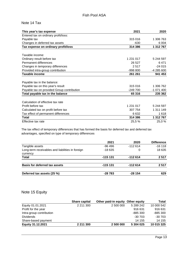## Note 14 Tax

| This year's tax expense                    | 2021      | 2020       |
|--------------------------------------------|-----------|------------|
| Entered tax on ordinary profit/loss:       |           |            |
| Payable tax                                | 315 016   | 1 306 763  |
| Changes in deferred tax assets             | $-630$    | 6 0 0 4    |
| Tax expense on ordinary profit/loss        | 314 386   | 1 312 767  |
| Taxable income:                            |           |            |
| Ordinary result before tax                 | 1 231 017 | 5 244 597  |
| Permanent differences                      | 26 527    | 6471       |
| Changes in temporary differences           | 2517      | $-24015$   |
| Provided intra-group contribution          | -998 800  | -4 285 600 |
| Taxable income                             | 261 261   | 941 453    |
|                                            |           |            |
| Payable tax in the balance:                |           |            |
| Payable tax on this year's result          | 315 016   | 1 306 762  |
| Payable tax on provided Group contribution | $-249700$ | $-1071400$ |
| Total payable tax in the balance           | 65 316    | 235 362    |
| Calculation of effective tax rate          |           |            |
| Profit before tax                          | 1 231 017 | 5 244 597  |
| Calculated tax on profit before tax        | 307 754   | 1 311 149  |
| Tax effect of permanent differences        | 6632      | 1618       |
| Total                                      | 314 386   | 1 312 767  |
| Effective tax rate                         | 25,5 %    | 25,0%      |

The tax effect of temporary differences that has formed the basis for deferred tax and deferred tax advantages, specified on type of temporary differences

|                                                              | 2021      | 2020      | <b>Difference</b> |
|--------------------------------------------------------------|-----------|-----------|-------------------|
| Tangible assets                                              | $-96496$  | $-112614$ | $-16118$          |
| Long-term receivables and liabilities in foreign<br>currency | $-18635$  | 0         | 18 635            |
| <b>Total</b>                                                 | $-115131$ | $-112614$ | 2517              |
| <b>Basis for deferred tax assets</b>                         | $-115131$ | $-112614$ | 2517              |
| Deferred tax assets (25 %)                                   | $-28783$  | $-28154$  | 629               |

## Note 15 Equity

|                          | <b>Share capital</b> | Other paid-in equity Other equity |           | Total      |
|--------------------------|----------------------|-----------------------------------|-----------|------------|
| Equity 01.01.2021        | 2 2 1 3 0 0          | 2 500 000                         | 5 289 242 | 10 000 542 |
| Profit for the year      |                      |                                   | 916 631   | 916 631    |
| Intra-group contribution |                      |                                   | -885 300  | -885 300   |
| <b>Dividends</b>         |                      |                                   | $-30703$  | $-30703$   |
| Share-based payment      |                      |                                   | 14 155    | 14 155     |
| <b>Equity 31.12.2021</b> | 2 211 300            | 2 500 000                         | 5 304 025 | 10 015 325 |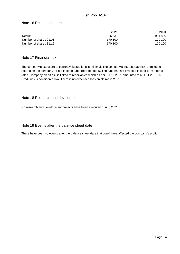## Note 16 Result per share

|                        | 2021    | 2020      |
|------------------------|---------|-----------|
| Result                 | 916 631 | 3 931 830 |
| Number of shares 01.01 | 170 100 | 170 100   |
| Number of shares 31.12 | 170 100 | 170 100   |

## Note 17 Financial risk

The company's exposure to currency fluctuations is minimal. The company's interest rate risk is limited to returns on the company's fixed income fund, refer to note 5. The fund has not invested in long-term interest rates. Company credit risk is linked to receivables which as per. 31.12.2021 amounted to NOK 1 256 725. Credit risk is considered low. There is no expensed loss on claims in 2021

## Note 18 Research and development

No research and development projects have been executed during 2021.

## Note 19 Events after the balance sheet date

There have been no events after the balance sheet date that could have affected the company's profit.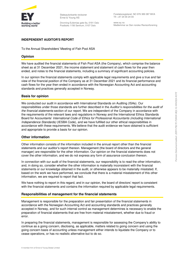

Statsautoriserte revisorer Ernst & Young AS

Dronning Eufemias gate 6a, 0191 Oslo Postboks 1156 Sentrum, 0107 Oslo

Foretaksregisteret: NO 976 389 387 MVA Tlf: +47 24 00 24 00

www.ey.no Medlemmer av Den norske Revisorforening

#### **INDEPENDENT AUDITOR'S REPORT**

To the Annual Shareholders' Meeting of Fish Pool ASA

#### **Opinion**

We have audited the financial statements of Fish Pool ASA (the Company), which comprise the balance sheet as at 31 December 2021, the income statement and statement of cash flows for the year then ended, and notes to the financial statements, including a summary of significant accounting policies.

In our opinion the financial statements comply with applicable legal requirements and give a true and fair view of the financial position of the Company as at 31 December 2021 and its financial performance and cash flows for the year then ended in accordance with the Norwegian Accounting Act and accounting standards and practices generally accepted in Norway.

#### **Basis for opinion**

We conducted our audit in accordance with International Standards on Auditing (ISAs). Our responsibilities under those standards are further described in the *Auditor's responsibilities for the audit of*  the financial statements section of our report. We are independent of the Company in accordance with the requirements of the relevant laws and regulations in Norway and the International Ethics Standards Board for Accountants' International Code of Ethics for Professional Accountants (including International Independence Standards) (IESBA Code), and we have fulfilled our other ethical responsibilities in accordance with these requirements. We believe that the audit evidence we have obtained is sufficient and appropriate to provide a basis for our opinion.

#### **Other information**

Other information consists of the information included in the annual report other than the financial statements and our auditor's report thereon. Management (the board of directors and the general manager) are responsible for the other information. Our opinion on the financial statements does not cover the other information, and we do not express any form of assurance conclusion thereon.

In connection with our audit of the financial statements, our responsibility is to read the other information, and, in doing so, consider whether the other information is materially inconsistent with the financial statements or our knowledge obtained in the audit, or otherwise appears to be materially misstated. If, based on the work we have performed, we conclude that there is a material misstatement of this other information, we are required to report that fact.

We have nothing to report in this regard, and in our opinion, the board of directors' report is consistent with the financial statements and contains the information required by applicable legal requirements.

#### **Responsibilities of management for the financial statements**

Management is responsible for the preparation and fair presentation of the financial statements in accordance with the Norwegian Accounting Act and accounting standards and practices generally accepted in Norway, and for such internal control as management determines is necessary to enable the preparation of financial statements that are free from material misstatement, whether due to fraud or error.

In preparing the financial statements, management is responsible for assessing the Company's ability to continue as a going concern, disclosing, as applicable, matters related to going concern and using the going concern basis of accounting unless management either intends to liquidate the Company or to cease operations, or has no realistic alternative but to do so.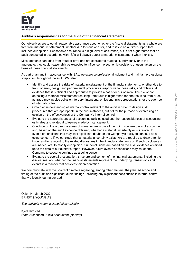

## **Auditor's responsibilities for the audit of the financial statements**

Our objectives are to obtain reasonable assurance about whether the financial statements as a whole are free from material misstatement, whether due to fraud or error, and to issue an auditor's report that includes our opinion. Reasonable assurance is a high level of assurance, but is not a guarantee that an audit conducted in accordance with ISAs will always detect a material misstatement when it exists.

Misstatements can arise from fraud or error and are considered material if, individually or in the aggregate, they could reasonably be expected to influence the economic decisions of users taken on the basis of these financial statements.

As part of an audit in accordance with ISAs, we exercise professional judgment and maintain professional scepticism throughout the audit. We also:

- Identify and assess the risks of material misstatement of the financial statements, whether due to fraud or error, design and perform audit procedures responsive to those risks, and obtain audit evidence that is sufficient and appropriate to provide a basis for our opinion. The risk of not detecting a material misstatement resulting from fraud is higher than for one resulting from error, as fraud may involve collusion, forgery, intentional omissions, misrepresentations, or the override of internal control.
- Obtain an understanding of internal control relevant to the audit in order to design audit procedures that are appropriate in the circumstances, but not for the purpose of expressing an opinion on the effectiveness of the Company's internal control.
- Evaluate the appropriateness of accounting policies used and the reasonableness of accounting estimates and related disclosures made by management.
- Conclude on the appropriateness of management's use of the going concern basis of accounting and, based on the audit evidence obtained, whether a material uncertainty exists related to events or conditions that may cast significant doubt on the Company's ability to continue as a going concern. If we conclude that a material uncertainty exists, we are required to draw attention in our auditor's report to the related disclosures in the financial statements or, if such disclosures are inadequate, to modify our opinion. Our conclusions are based on the audit evidence obtained up to the date of our auditor's report. However, future events or conditions may cause the Company to cease to continue as a going concern.
- Evaluate the overall presentation, structure and content of the financial statements, including the disclosures, and whether the financial statements represent the underlying transactions and events in a manner that achieves fair presentation.

We communicate with the board of directors regarding, among other matters, the planned scope and timing of the audit and significant audit findings, including any significant deficiencies in internal control that we identify during our audit.

Oslo, 14. March 2022 ERNST & YOUNG AS

The auditor's report is signed electronically

Kjetil Rimstad State Authorised Public Accountant (Norway)